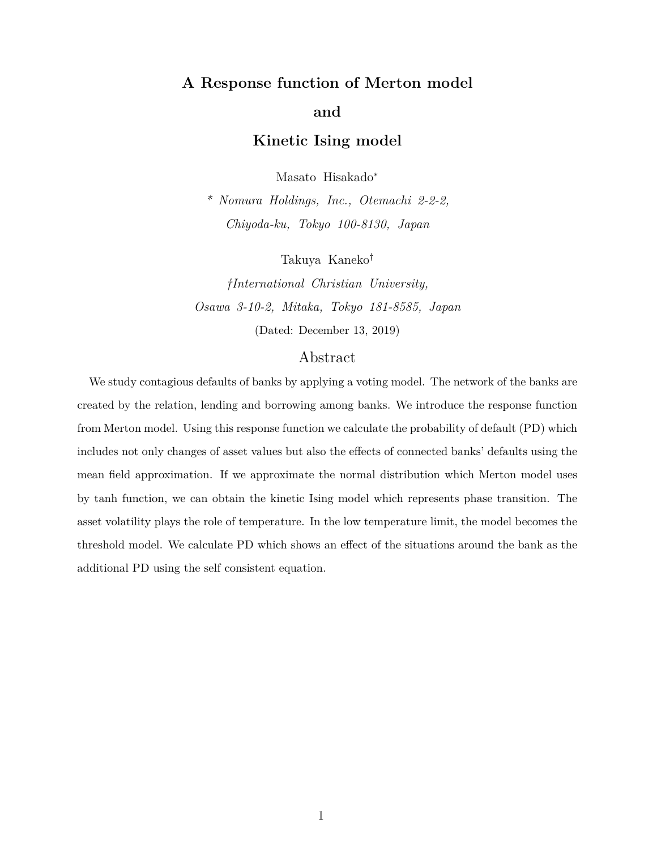# **A Response function of Merton model and**

**Kinetic Ising model**

Masato Hisakado*<sup>∗</sup>*

*\* Nomura Holdings, Inc., Otemachi 2-2-2, Chiyoda-ku, Tokyo 100-8130, Japan*

Takuya Kaneko*†*

*†International Christian University, Osawa 3-10-2, Mitaka, Tokyo 181-8585, Japan* (Dated: December 13, 2019)

# Abstract

We study contagious defaults of banks by applying a voting model. The network of the banks are created by the relation, lending and borrowing among banks. We introduce the response function from Merton model. Using this response function we calculate the probability of default (PD) which includes not only changes of asset values but also the effects of connected banks' defaults using the mean field approximation. If we approximate the normal distribution which Merton model uses by tanh function, we can obtain the kinetic Ising model which represents phase transition. The asset volatility plays the role of temperature. In the low temperature limit, the model becomes the threshold model. We calculate PD which shows an effect of the situations around the bank as the additional PD using the self consistent equation.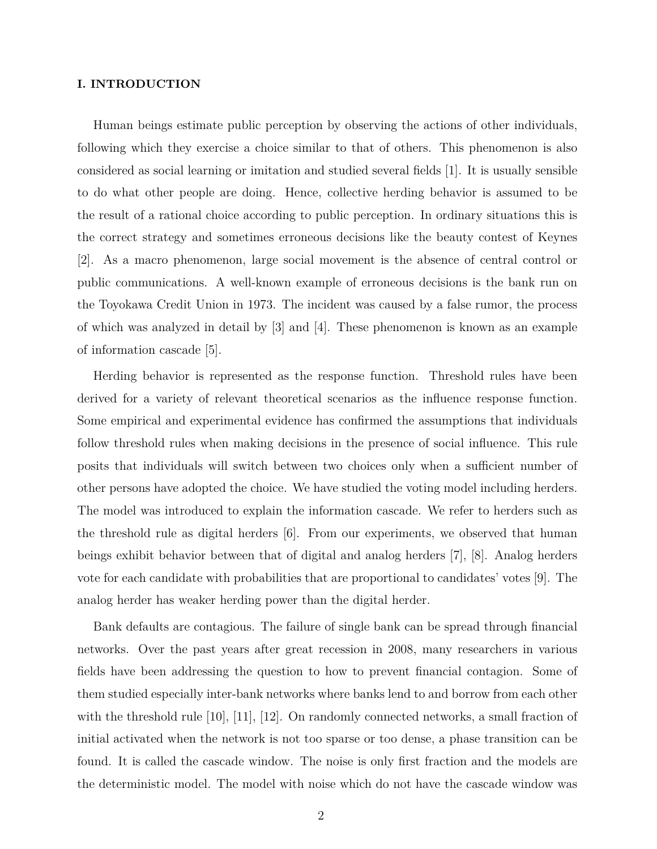### **I. INTRODUCTION**

Human beings estimate public perception by observing the actions of other individuals, following which they exercise a choice similar to that of others. This phenomenon is also considered as social learning or imitation and studied several fields [1]. It is usually sensible to do what other people are doing. Hence, collective herding behavior is assumed to be the result of a rational choice according to public perception. In ordinary situations this is the correct strategy and sometimes erroneous decisions like the beauty contest of Keynes [2]. As a macro phenomenon, large social movement is the absence of central control or public communications. A well-known example of erroneous decisions is the bank run on the Toyokawa Credit Union in 1973. The incident was caused by a false rumor, the process of which was analyzed in detail by  $[3]$  and  $[4]$ . These phenomenon is known as an example of information cascade [5].

Herding behavior is represented as the response function. Threshold rules have been derived for a variety of relevant theoretical scenarios as the influence response function. Some empirical and experimental evidence has confirmed the assumptions that individuals follow threshold rules when making decisions in the presence of social influence. This rule posits that individuals will switch between two choices only when a sufficient number of other persons have adopted the choice. We have studied the voting model including herders. The model was introduced to explain the information cascade. We refer to herders such as the threshold rule as digital herders [6]. From our experiments, we observed that human beings exhibit behavior between that of digital and analog herders [7], [8]. Analog herders vote for each candidate with probabilities that are proportional to candidates' votes [9]. The analog herder has weaker herding power than the digital herder.

Bank defaults are contagious. The failure of single bank can be spread through financial networks. Over the past years after great recession in 2008, many researchers in various fields have been addressing the question to how to prevent financial contagion. Some of them studied especially inter-bank networks where banks lend to and borrow from each other with the threshold rule [10], [11], [12]. On randomly connected networks, a small fraction of initial activated when the network is not too sparse or too dense, a phase transition can be found. It is called the cascade window. The noise is only first fraction and the models are the deterministic model. The model with noise which do not have the cascade window was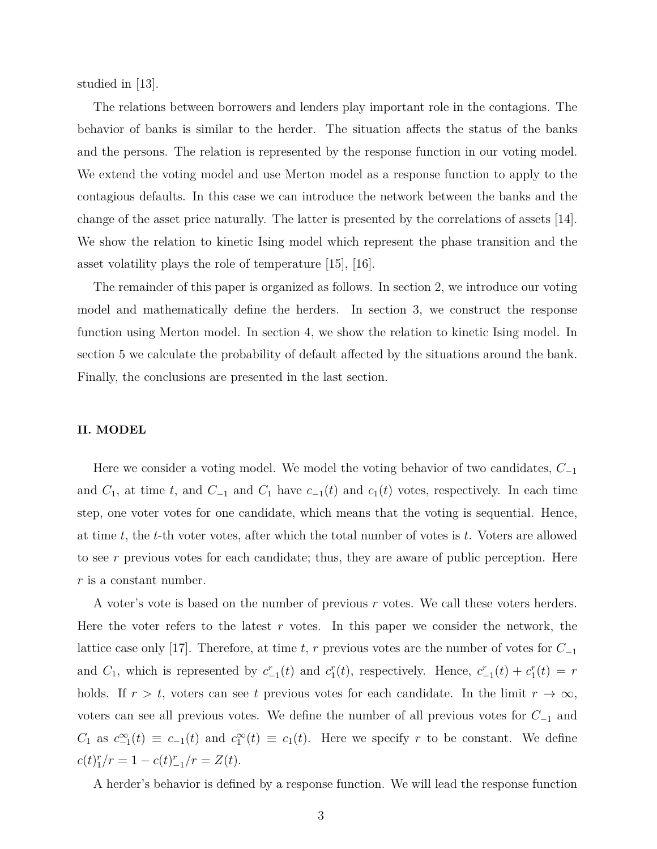studied in [13].

The relations between borrowers and lenders play important role in the contagions. The behavior of banks is similar to the herder. The situation affects the status of the banks and the persons. The relation is represented by the response function in our voting model. We extend the voting model and use Merton model as a response function to apply to the contagious defaults. In this case we can introduce the network between the banks and the change of the asset price naturally. The latter is presented by the correlations of assets [14]. We show the relation to kinetic Ising model which represent the phase transition and the asset volatility plays the role of temperature [15], [16].

The remainder of this paper is organized as follows. In section 2, we introduce our voting model and mathematically define the herders. In section 3, we construct the response function using Merton model. In section 4, we show the relation to kinetic Ising model. In section 5 we calculate the probability of default affected by the situations around the bank. Finally, the conclusions are presented in the last section.

## **II. MODEL**

Here we consider a voting model. We model the voting behavior of two candidates, *C−*<sup>1</sup> and  $C_1$ , at time  $t$ , and  $C_1$  and  $C_1$  have  $c_{-1}(t)$  and  $c_1(t)$  votes, respectively. In each time step, one voter votes for one candidate, which means that the voting is sequential. Hence, at time *t*, the *t*-th voter votes, after which the total number of votes is *t*. Voters are allowed to see *r* previous votes for each candidate; thus, they are aware of public perception. Here *r* is a constant number.

A voter's vote is based on the number of previous *r* votes. We call these voters herders. Here the voter refers to the latest *r* votes. In this paper we consider the network, the lattice case only [17]. Therefore, at time *t*, *r* previous votes are the number of votes for *C−*<sup>1</sup> and  $C_1$ , which is represented by  $c_{-1}^r(t)$  and  $c_1^r(t)$ , respectively. Hence,  $c_{-1}^r(t) + c_1^r(t) = r$ holds. If  $r > t$ , voters can see t previous votes for each candidate. In the limit  $r \to \infty$ , voters can see all previous votes. We define the number of all previous votes for *C−*<sup>1</sup> and  $C_1$  as  $c_{-1}^{\infty}(t) \equiv c_{-1}(t)$  and  $c_1^{\infty}(t) \equiv c_1(t)$ . Here we specify *r* to be constant. We define  $c(t)_{1}^{r}/r = 1 - c(t)_{-1}^{r}/r = Z(t).$ 

A herder's behavior is defined by a response function. We will lead the response function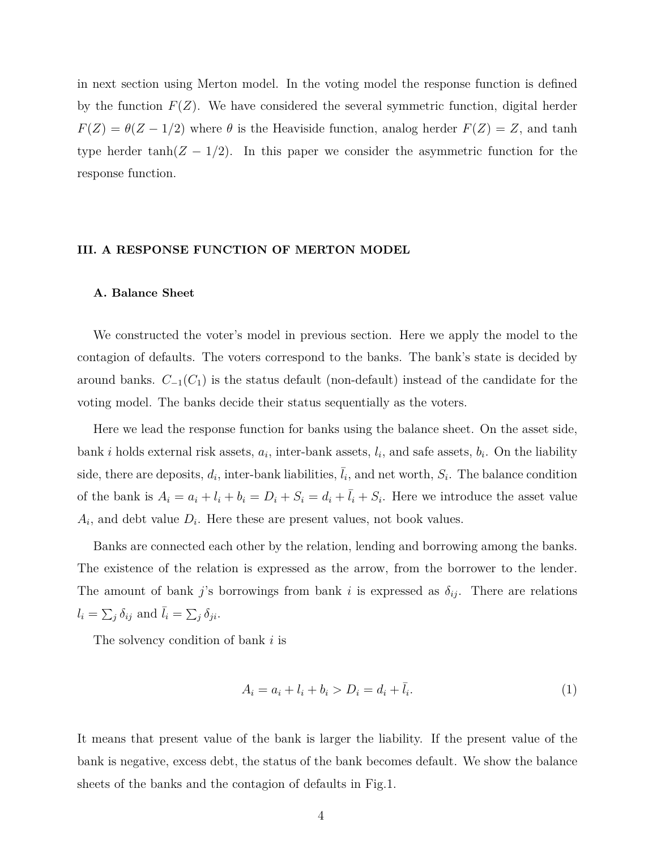in next section using Merton model. In the voting model the response function is defined by the function  $F(Z)$ . We have considered the several symmetric function, digital herder *F*(*Z*) =  $\theta$ (*Z* − 1/2) where  $\theta$  is the Heaviside function, analog herder *F*(*Z*) = *Z*, and tanh type herder tanh( $Z - 1/2$ ). In this paper we consider the asymmetric function for the response function.

#### **III. A RESPONSE FUNCTION OF MERTON MODEL**

#### **A. Balance Sheet**

We constructed the voter's model in previous section. Here we apply the model to the contagion of defaults. The voters correspond to the banks. The bank's state is decided by around banks. *C−*<sup>1</sup>(*C*1) is the status default (non-default) instead of the candidate for the voting model. The banks decide their status sequentially as the voters.

Here we lead the response function for banks using the balance sheet. On the asset side, bank *i* holds external risk assets,  $a_i$ , inter-bank assets,  $l_i$ , and safe assets,  $b_i$ . On the liability side, there are deposits,  $d_i$ , inter-bank liabilities,  $\bar{l}_i$ , and net worth,  $S_i$ . The balance condition of the bank is  $A_i = a_i + l_i + b_i = D_i + S_i = d_i + \overline{l_i} + S_i$ . Here we introduce the asset value  $A_i$ , and debt value  $D_i$ . Here these are present values, not book values.

Banks are connected each other by the relation, lending and borrowing among the banks. The existence of the relation is expressed as the arrow, from the borrower to the lender. The amount of bank *j*'s borrowings from bank *i* is expressed as  $\delta_{ij}$ . There are relations  $l_i = \sum_j \delta_{ij}$  and  $\bar{l}_i = \sum_j \delta_{ji}$ .

The solvency condition of bank *i* is

$$
A_i = a_i + l_i + b_i > D_i = d_i + \bar{l}_i.
$$
\n(1)

It means that present value of the bank is larger the liability. If the present value of the bank is negative, excess debt, the status of the bank becomes default. We show the balance sheets of the banks and the contagion of defaults in Fig.1.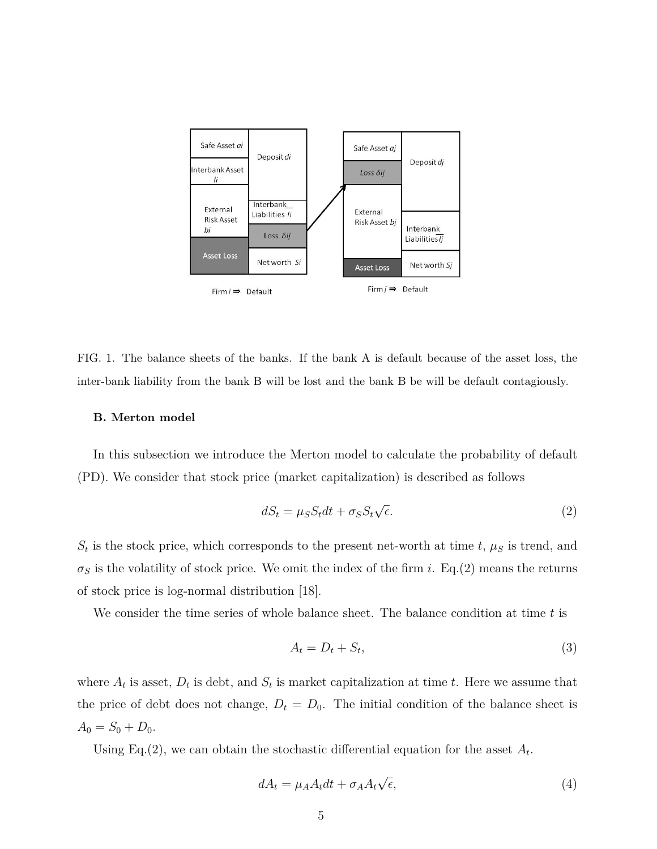

FIG. 1. The balance sheets of the banks. If the bank A is default because of the asset loss, the inter-bank liability from the bank B will be lost and the bank B be will be default contagiously.

#### **B. Merton model**

In this subsection we introduce the Merton model to calculate the probability of default (PD). We consider that stock price (market capitalization) is described as follows

$$
dS_t = \mu_S S_t dt + \sigma_S S_t \sqrt{\epsilon}.
$$
\n(2)

 $S_t$  is the stock price, which corresponds to the present net-worth at time  $t$ ,  $\mu_S$  is trend, and  $\sigma_S$  is the volatility of stock price. We omit the index of the firm *i*. Eq.(2) means the returns of stock price is log-normal distribution [18].

We consider the time series of whole balance sheet. The balance condition at time *t* is

$$
A_t = D_t + S_t,\tag{3}
$$

where  $A_t$  is asset,  $D_t$  is debt, and  $S_t$  is market capitalization at time  $t$ . Here we assume that the price of debt does not change,  $D_t = D_0$ . The initial condition of the balance sheet is  $A_0 = S_0 + D_0.$ 

Using Eq.(2), we can obtain the stochastic differential equation for the asset  $A_t$ .

$$
dA_t = \mu_A A_t dt + \sigma_A A_t \sqrt{\epsilon},\tag{4}
$$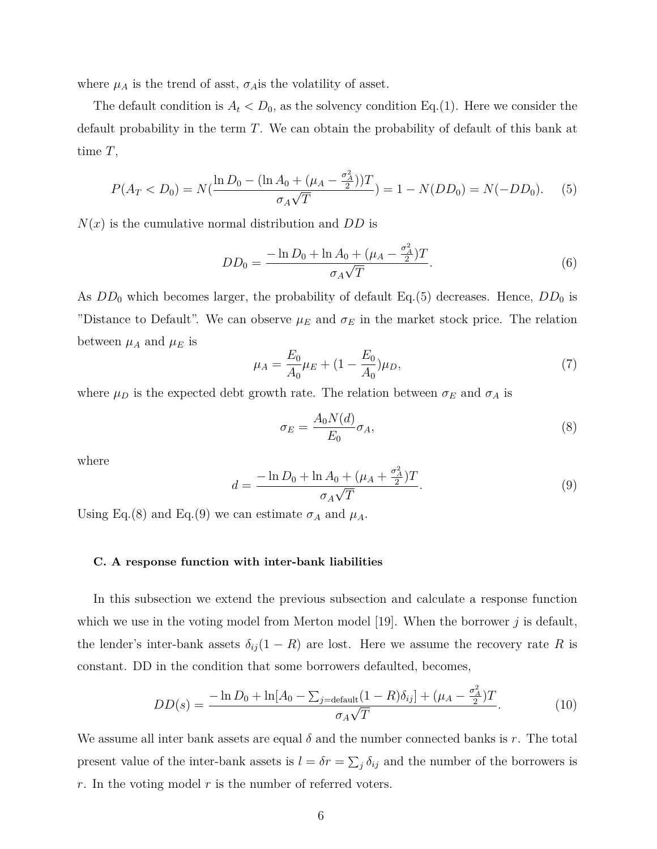where  $\mu_A$  is the trend of asst,  $\sigma_A$  is the volatility of asset.

The default condition is  $A_t < D_0$ , as the solvency condition Eq.(1). Here we consider the default probability in the term *T*. We can obtain the probability of default of this bank at time *T*,

$$
P(A_T < D_0) = N(\frac{\ln D_0 - (\ln A_0 + (\mu_A - \frac{\sigma_A^2}{2}))T}{\sigma_A \sqrt{T}}) = 1 - N(DD_0) = N(-DD_0). \tag{5}
$$

*N*(*x*) is the cumulative normal distribution and *DD* is

$$
DD_0 = \frac{-\ln D_0 + \ln A_0 + (\mu_A - \frac{\sigma_A^2}{2})T}{\sigma_A \sqrt{T}}.
$$
\n(6)

As  $DD_0$  which becomes larger, the probability of default Eq.(5) decreases. Hence,  $DD_0$  is "Distance to Default". We can observe  $\mu_E$  and  $\sigma_E$  in the market stock price. The relation between  $\mu_A$  and  $\mu_E$  is

$$
\mu_A = \frac{E_0}{A_0} \mu_E + (1 - \frac{E_0}{A_0}) \mu_D,\tag{7}
$$

where  $\mu_D$  is the expected debt growth rate. The relation between  $\sigma_E$  and  $\sigma_A$  is

$$
\sigma_E = \frac{A_0 N(d)}{E_0} \sigma_A,\tag{8}
$$

where

$$
d = \frac{-\ln D_0 + \ln A_0 + (\mu_A + \frac{\sigma_A^2}{2})T}{\sigma_A \sqrt{T}}.
$$
\n(9)

Using Eq.(8) and Eq.(9) we can estimate  $\sigma_A$  and  $\mu_A$ .

#### **C. A response function with inter-bank liabilities**

In this subsection we extend the previous subsection and calculate a response function which we use in the voting model from Merton model [19]. When the borrower *j* is default, the lender's inter-bank assets  $\delta_{ij}(1 - R)$  are lost. Here we assume the recovery rate R is constant. DD in the condition that some borrowers defaulted, becomes,

$$
DD(s) = \frac{-\ln D_0 + \ln[A_0 - \sum_{j=\text{default}} (1 - R)\delta_{ij}] + (\mu_A - \frac{\sigma_A^2}{2})T}{\sigma_A \sqrt{T}}.
$$
(10)

We assume all inter bank assets are equal  $\delta$  and the number connected banks is r. The total present value of the inter-bank assets is  $l = \delta r = \sum_j \delta_{ij}$  and the number of the borrowers is *r*. In the voting model *r* is the number of referred voters.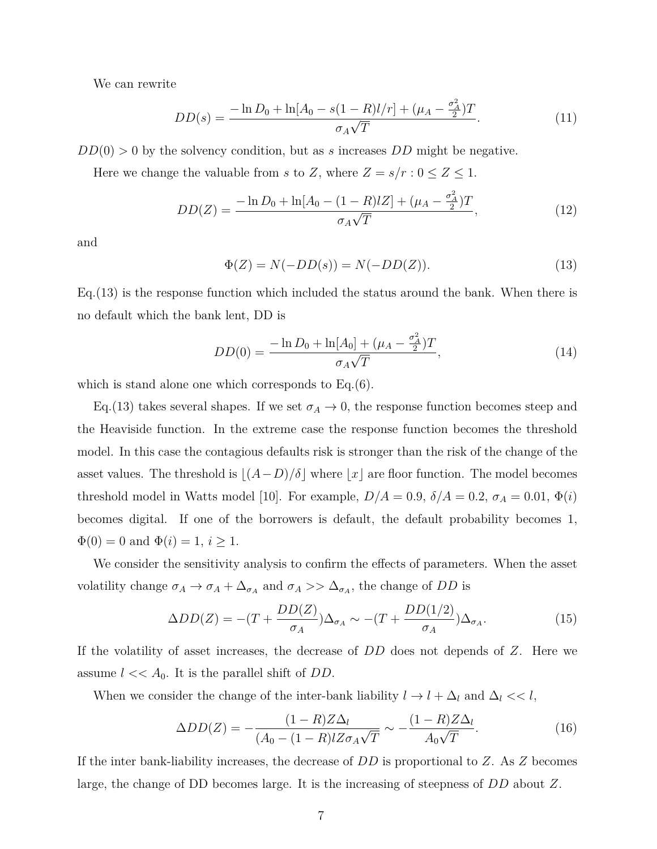We can rewrite

$$
DD(s) = \frac{-\ln D_0 + \ln[A_0 - s(1 - R)l/r] + (\mu_A - \frac{\sigma_A^2}{2})T}{\sigma_A \sqrt{T}}.
$$
\n(11)

*DD*(0) *>* 0 by the solvency condition, but as *s* increases *DD* might be negative.

Here we change the valuable from *s* to *Z*, where  $Z = s/r : 0 \le Z \le 1$ .

$$
DD(Z) = \frac{-\ln D_0 + \ln[A_0 - (1 - R)LZ] + (\mu_A - \frac{\sigma_A^2}{2})T}{\sigma_A \sqrt{T}},
$$
\n(12)

and

$$
\Phi(Z) = N(-DD(s)) = N(-DD(Z)).
$$
\n(13)

Eq.(13) is the response function which included the status around the bank. When there is no default which the bank lent, DD is

$$
DD(0) = \frac{-\ln D_0 + \ln[A_0] + (\mu_A - \frac{\sigma_A^2}{2})T}{\sigma_A \sqrt{T}},
$$
\n(14)

which is stand alone one which corresponds to Eq.(6).

Eq.(13) takes several shapes. If we set  $\sigma_A \to 0$ , the response function becomes steep and the Heaviside function. In the extreme case the response function becomes the threshold model. In this case the contagious defaults risk is stronger than the risk of the change of the asset values. The threshold is  $\lfloor (A-D)/\delta \rfloor$  where  $\lfloor x \rfloor$  are floor function. The model becomes threshold model in Watts model [10]. For example,  $D/A = 0.9$ ,  $\delta/A = 0.2$ ,  $\sigma_A = 0.01$ ,  $\Phi(i)$ becomes digital. If one of the borrowers is default, the default probability becomes 1,  $\Phi(0) = 0$  and  $\Phi(i) = 1, i \geq 1$ .

We consider the sensitivity analysis to confirm the effects of parameters. When the asset volatility change  $\sigma_A \to \sigma_A + \Delta_{\sigma_A}$  and  $\sigma_A >> \Delta_{\sigma_A}$ , the change of *DD* is

$$
\Delta DD(Z) = -(T + \frac{DD(Z)}{\sigma_A})\Delta_{\sigma_A} \sim -(T + \frac{DD(1/2)}{\sigma_A})\Delta_{\sigma_A}.
$$
\n(15)

If the volatility of asset increases, the decrease of *DD* does not depends of *Z*. Here we assume  $l \ll A_0$ . It is the parallel shift of *DD*.

When we consider the change of the inter-bank liability  $l \to l + \Delta_l$  and  $\Delta_l \ll l$ ,

$$
\Delta DD(Z) = -\frac{(1 - R)Z\Delta_l}{(A_0 - (1 - R)lZ\sigma_A\sqrt{T})} \sim -\frac{(1 - R)Z\Delta_l}{A_0\sqrt{T}}.
$$
\n(16)

If the inter bank-liability increases, the decrease of *DD* is proportional to *Z*. As *Z* becomes large, the change of DD becomes large. It is the increasing of steepness of *DD* about *Z*.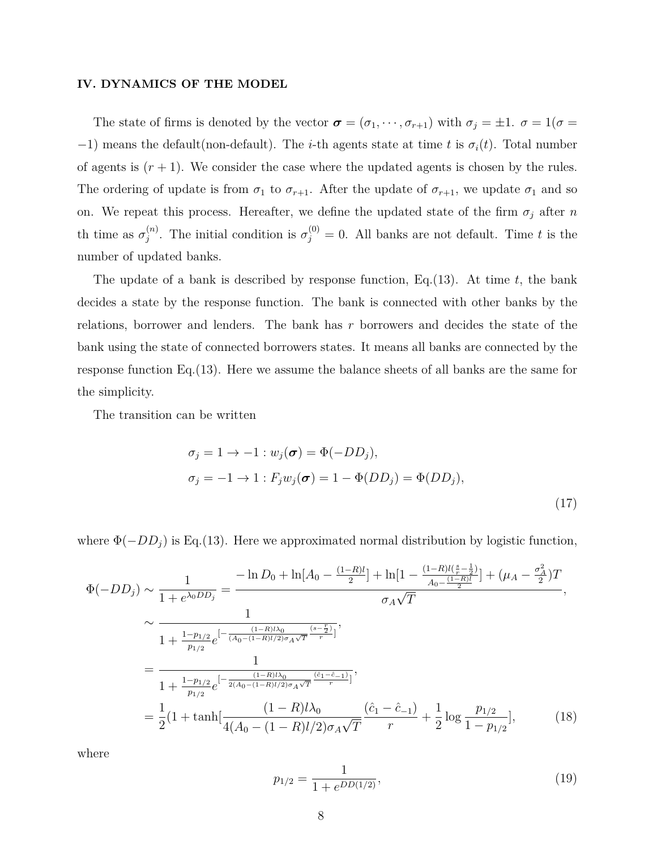#### **IV. DYNAMICS OF THE MODEL**

The state of firms is denoted by the vector  $\boldsymbol{\sigma} = (\sigma_1, \dots, \sigma_{r+1})$  with  $\sigma_j = \pm 1$ .  $\sigma = 1(\sigma =$ *−*1) means the default(non-default). The *i*-th agents state at time *t* is  $\sigma_i(t)$ . Total number of agents is  $(r + 1)$ . We consider the case where the updated agents is chosen by the rules. The ordering of update is from  $\sigma_1$  to  $\sigma_{r+1}$ . After the update of  $\sigma_{r+1}$ , we update  $\sigma_1$  and so on. We repeat this process. Hereafter, we define the updated state of the firm  $\sigma_j$  after *n* th time as  $\sigma_i^{(n)}$  $j^{(n)}$ . The initial condition is  $\sigma_j^{(0)} = 0$ . All banks are not default. Time *t* is the number of updated banks.

The update of a bank is described by response function, Eq.(13). At time *t*, the bank decides a state by the response function. The bank is connected with other banks by the relations, borrower and lenders. The bank has *r* borrowers and decides the state of the bank using the state of connected borrowers states. It means all banks are connected by the response function Eq.(13). Here we assume the balance sheets of all banks are the same for the simplicity.

The transition can be written

$$
\sigma_j = 1 \to -1 : w_j(\boldsymbol{\sigma}) = \Phi(-DD_j),
$$
  
\n
$$
\sigma_j = -1 \to 1 : F_j w_j(\boldsymbol{\sigma}) = 1 - \Phi(DD_j) = \Phi(DD_j),
$$
\n(17)

where  $\Phi(-DD_i)$  is Eq.(13). Here we approximated normal distribution by logistic function,

$$
\Phi(-DD_j) \sim \frac{1}{1 + e^{\lambda_0 DD_j}} = \frac{-\ln D_0 + \ln[A_0 - \frac{(1-R)l}{2}] + \ln[1 - \frac{(1-R)l(\frac{s}{r} - \frac{1}{2})}{A_0 - \frac{(1-R)l}{2}}] + (\mu_A - \frac{\sigma_A^2}{2})T}{\sigma_A \sqrt{T}},
$$
\n
$$
\sim \frac{1}{1 + \frac{1 - p_{1/2}}{p_{1/2}} e^{-\frac{(1-R)l\lambda_0}{(A_0 - (1-R)l/2)\sigma_A\sqrt{T}} \frac{(s - \frac{r}{2})}{r}]}},
$$
\n
$$
= \frac{1}{1 + \frac{1 - p_{1/2}}{p_{1/2}} e^{-\frac{(1-R)l\lambda_0}{2(A_0 - (1-R)l/2)\sigma_A\sqrt{T}} \frac{(\hat{c}_1 - \hat{c}_{-1})}{r}]}},
$$
\n
$$
= \frac{1}{2} (1 + \tanh[\frac{(1-R)l\lambda_0}{4(A_0 - (1-R)l/2)\sigma_A\sqrt{T}} \frac{(\hat{c}_1 - \hat{c}_{-1})}{r} + \frac{1}{2} \log \frac{p_{1/2}}{1 - p_{1/2}}],
$$
\n(18)

where

$$
p_{1/2} = \frac{1}{1 + e^{DD(1/2)}},\tag{19}
$$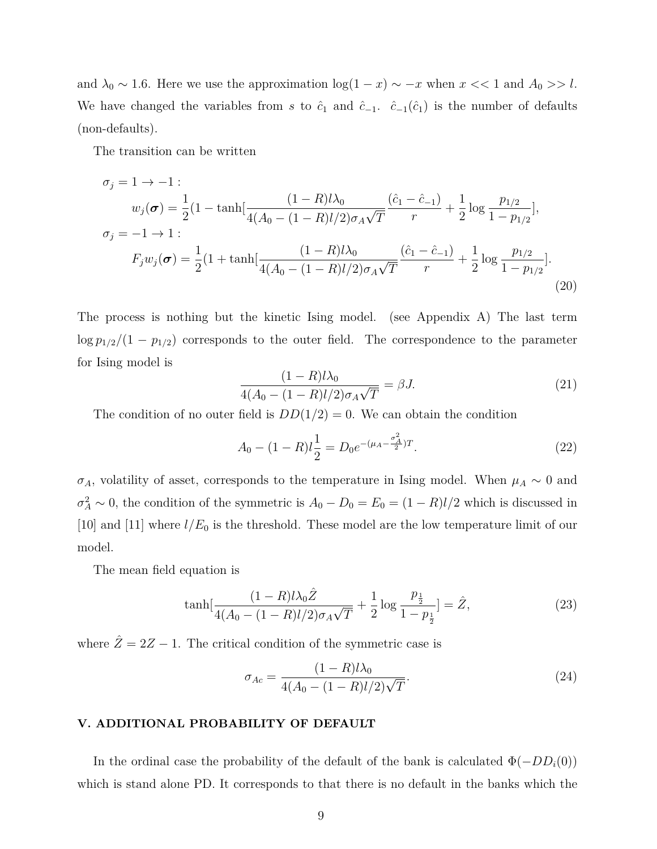and  $\lambda_0 \sim 1.6$ . Here we use the approximation  $\log(1-x) \sim -x$  when  $x \ll 1$  and  $A_0 >> l$ . We have changed the variables from *s* to  $\hat{c}_1$  and  $\hat{c}_{-1}$ .  $\hat{c}_{-1}(\hat{c}_1)$  is the number of defaults (non-defaults).

The transition can be written

$$
\sigma_j = 1 \to -1: \nw_j(\sigma) = \frac{1}{2} (1 - \tanh[\frac{(1 - R)l\lambda_0}{4(A_0 - (1 - R)l/2)\sigma_A\sqrt{T}} \frac{(\hat{c}_1 - \hat{c}_{-1})}{r} + \frac{1}{2} \log \frac{p_{1/2}}{1 - p_{1/2}}], \n\sigma_j = -1 \to 1: \nF_j w_j(\sigma) = \frac{1}{2} (1 + \tanh[\frac{(1 - R)l\lambda_0}{4(A_0 - (1 - R)l/2)\sigma_A\sqrt{T}} \frac{(\hat{c}_1 - \hat{c}_{-1})}{r} + \frac{1}{2} \log \frac{p_{1/2}}{1 - p_{1/2}}].
$$
\n(20)

The process is nothing but the kinetic Ising model. (see Appendix A) The last term  $\log p_{1/2}/(1 - p_{1/2})$  corresponds to the outer field. The correspondence to the parameter for Ising model is

$$
\frac{(1 - R)l\lambda_0}{4(A_0 - (1 - R)l/2)\sigma_A\sqrt{T}} = \beta J.
$$
\n(21)

The condition of no outer field is  $DD(1/2) = 0$ . We can obtain the condition

$$
A_0 - (1 - R)l\frac{1}{2} = D_0 e^{-(\mu_A - \frac{\sigma_A^2}{2})T}.
$$
\n(22)

 $\sigma_A$ , volatility of asset, corresponds to the temperature in Ising model. When  $\mu_A \sim 0$  and  $\sigma_A^2 \sim 0$ , the condition of the symmetric is  $A_0 - D_0 = E_0 = (1 - R)l/2$  which is discussed in [10] and [11] where *l/E*<sup>0</sup> is the threshold. These model are the low temperature limit of our model.

The mean field equation is

$$
\tanh\left[\frac{(1-R)l\lambda_0\hat{Z}}{4(A_0 - (1-R)l/2)\sigma_A\sqrt{T}} + \frac{1}{2}\log\frac{p_{\frac{1}{2}}}{1-p_{\frac{1}{2}}}\right] = \hat{Z},\tag{23}
$$

where  $\hat{Z} = 2Z - 1$ . The critical condition of the symmetric case is

$$
\sigma_{Ac} = \frac{(1 - R)l\lambda_0}{4(A_0 - (1 - R)l/2)\sqrt{T}}.\tag{24}
$$

### **V. ADDITIONAL PROBABILITY OF DEFAULT**

In the ordinal case the probability of the default of the bank is calculated  $\Phi(-DD_i(0))$ which is stand alone PD. It corresponds to that there is no default in the banks which the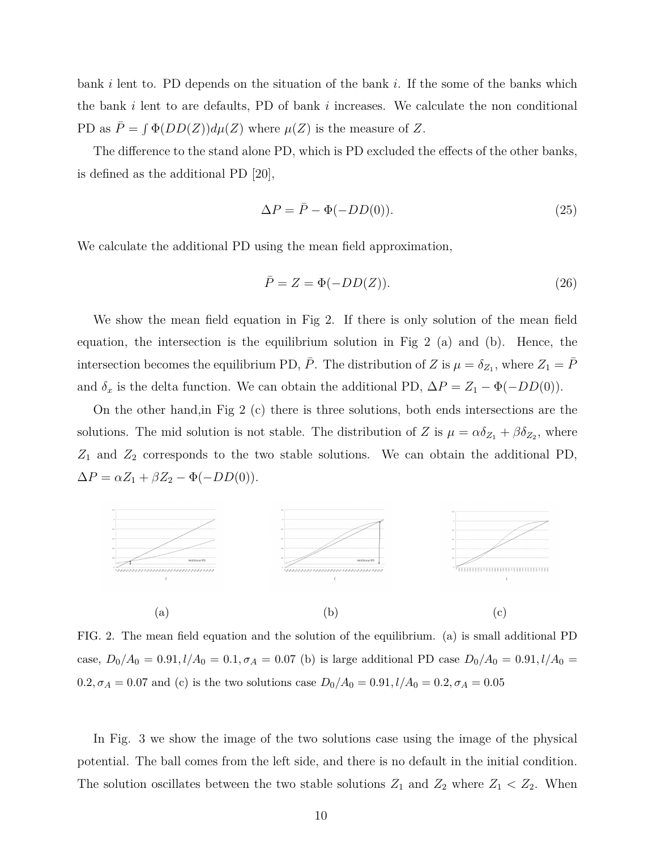bank *i* lent to. PD depends on the situation of the bank *i*. If the some of the banks which the bank *i* lent to are defaults, PD of bank *i* increases. We calculate the non conditional PD as  $\overline{P} = \int \Phi(DD(Z)) d\mu(Z)$  where  $\mu(Z)$  is the measure of *Z*.

The difference to the stand alone PD, which is PD excluded the effects of the other banks, is defined as the additional PD [20],

$$
\Delta P = \bar{P} - \Phi(-DD(0)).\tag{25}
$$

We calculate the additional PD using the mean field approximation,

$$
\bar{P} = Z = \Phi(-DD(Z)).\tag{26}
$$

We show the mean field equation in Fig 2. If there is only solution of the mean field equation, the intersection is the equilibrium solution in Fig 2 (a) and (b). Hence, the intersection becomes the equilibrium PD,  $\bar{P}$ . The distribution of *Z* is  $\mu = \delta_{Z_1}$ , where  $Z_1 = \bar{P}$ and  $\delta_x$  is the delta function. We can obtain the additional PD,  $\Delta P = Z_1 - \Phi(-DD(0))$ .

On the other hand,in Fig 2 (c) there is three solutions, both ends intersections are the solutions. The mid solution is not stable. The distribution of *Z* is  $\mu = \alpha \delta_{Z_1} + \beta \delta_{Z_2}$ , where *Z*<sup>1</sup> and *Z*<sup>2</sup> corresponds to the two stable solutions. We can obtain the additional PD,  $\Delta P = \alpha Z_1 + \beta Z_2 - \Phi(-DD(0)).$ 



FIG. 2. The mean field equation and the solution of the equilibrium. (a) is small additional PD case,  $D_0/A_0 = 0.91, l/A_0 = 0.1, \sigma_A = 0.07$  (b) is large additional PD case  $D_0/A_0 = 0.91, l/A_0 = 0.07$  $0.2, \sigma_A = 0.07$  and (c) is the two solutions case  $D_0/A_0 = 0.91, l/A_0 = 0.2, \sigma_A = 0.05$ 

In Fig. 3 we show the image of the two solutions case using the image of the physical potential. The ball comes from the left side, and there is no default in the initial condition. The solution oscillates between the two stable solutions  $Z_1$  and  $Z_2$  where  $Z_1 < Z_2$ . When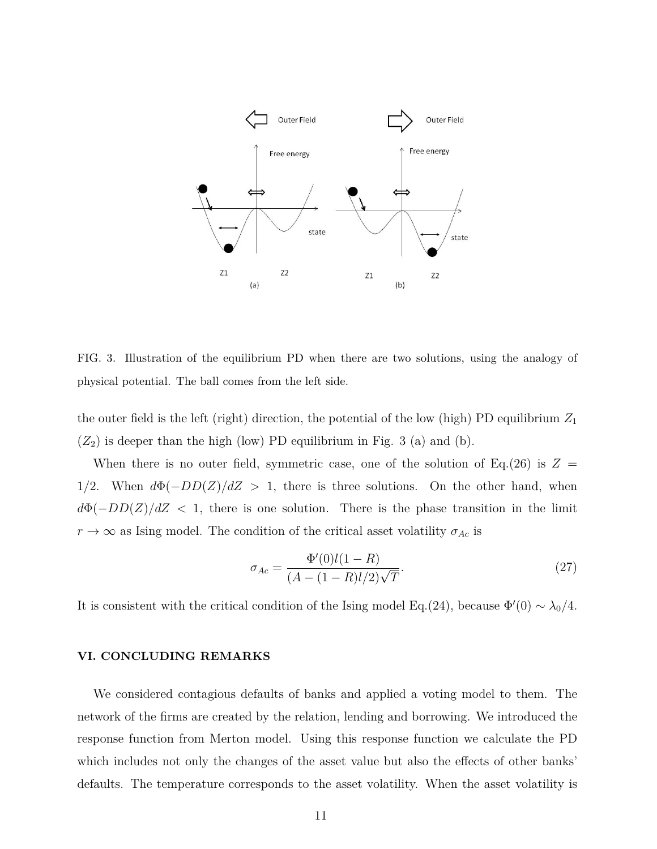

FIG. 3. Illustration of the equilibrium PD when there are two solutions, using the analogy of physical potential. The ball comes from the left side.

the outer field is the left (right) direction, the potential of the low (high) PD equilibrium *Z*<sup>1</sup>  $(Z_2)$  is deeper than the high (low) PD equilibrium in Fig. 3 (a) and (b).

When there is no outer field, symmetric case, one of the solution of Eq.(26) is  $Z =$ 1*/*2. When *d*Φ(*−DD*(*Z*)*/dZ >* 1, there is three solutions. On the other hand, when  $d\Phi(-DD(Z)/dZ < 1$ , there is one solution. There is the phase transition in the limit  $r \to \infty$  as Ising model. The condition of the critical asset volatility  $\sigma_{Ac}$  is

$$
\sigma_{Ac} = \frac{\Phi'(0)l(1 - R)}{(A - (1 - R)l/2)\sqrt{T}}.\tag{27}
$$

It is consistent with the critical condition of the Ising model Eq.(24), because  $\Phi'(0) \sim \lambda_0/4$ .

#### **VI. CONCLUDING REMARKS**

We considered contagious defaults of banks and applied a voting model to them. The network of the firms are created by the relation, lending and borrowing. We introduced the response function from Merton model. Using this response function we calculate the PD which includes not only the changes of the asset value but also the effects of other banks' defaults. The temperature corresponds to the asset volatility. When the asset volatility is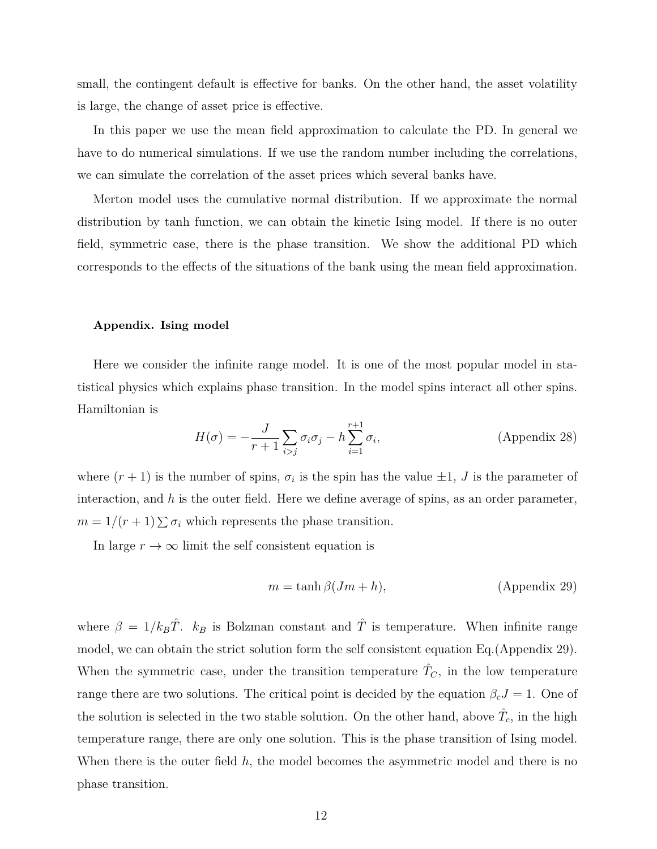small, the contingent default is effective for banks. On the other hand, the asset volatility is large, the change of asset price is effective.

In this paper we use the mean field approximation to calculate the PD. In general we have to do numerical simulations. If we use the random number including the correlations, we can simulate the correlation of the asset prices which several banks have.

Merton model uses the cumulative normal distribution. If we approximate the normal distribution by tanh function, we can obtain the kinetic Ising model. If there is no outer field, symmetric case, there is the phase transition. We show the additional PD which corresponds to the effects of the situations of the bank using the mean field approximation.

#### **Appendix. Ising model**

Here we consider the infinite range model. It is one of the most popular model in statistical physics which explains phase transition. In the model spins interact all other spins. Hamiltonian is

$$
H(\sigma) = -\frac{J}{r+1} \sum_{i>j} \sigma_i \sigma_j - h \sum_{i=1}^{r+1} \sigma_i,
$$
 (Appendix 28)

where  $(r + 1)$  is the number of spins,  $\sigma_i$  is the spin has the value  $\pm 1$ , *J* is the parameter of interaction, and *h* is the outer field. Here we define average of spins, as an order parameter,  $m = 1/(r + 1) \sum \sigma_i$  which represents the phase transition.

In large  $r\to\infty$  limit the self consistent equation is

$$
m = \tanh \beta (Jm + h), \tag{Appendix 29}
$$

where  $\beta = 1/k_B\hat{T}$ .  $k_B$  is Bolzman constant and  $\hat{T}$  is temperature. When infinite range model, we can obtain the strict solution form the self consistent equation Eq.(Appendix 29). When the symmetric case, under the transition temperature  $\hat{T}_C$ , in the low temperature range there are two solutions. The critical point is decided by the equation  $\beta_c J = 1$ . One of the solution is selected in the two stable solution. On the other hand, above  $\hat{T}_c$ , in the high temperature range, there are only one solution. This is the phase transition of Ising model. When there is the outer field *h*, the model becomes the asymmetric model and there is no phase transition.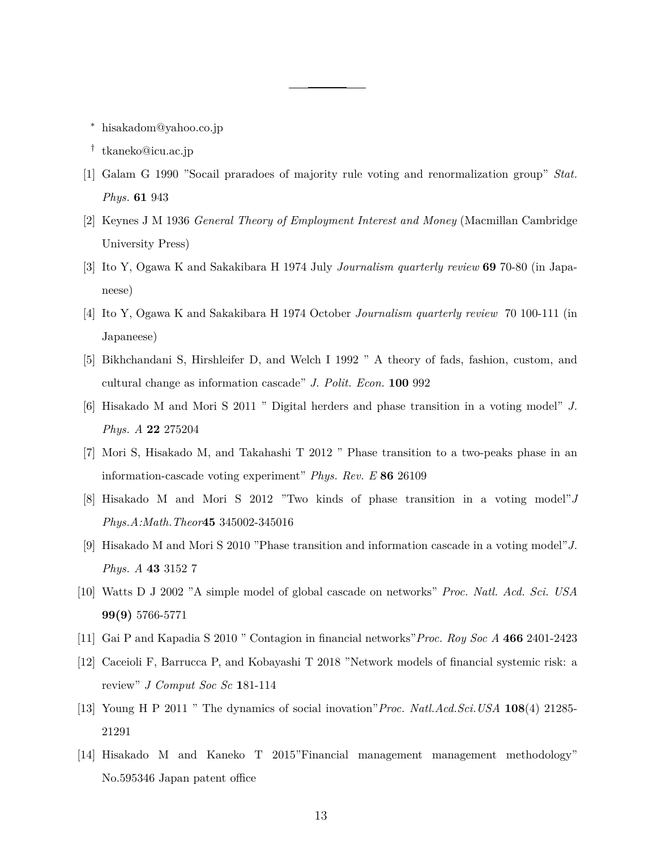- *∗* hisakadom@yahoo.co.jp
- *†* tkaneko@icu.ac.jp
- [1] Galam G 1990 "Socail praradoes of majority rule voting and renormalization group" *Stat. Phys.* **61** 943
- [2] Keynes J M 1936 *General Theory of Employment Interest and Money* (Macmillan Cambridge University Press)
- [3] Ito Y, Ogawa K and Sakakibara H 1974 July *Journalism quarterly review* **69** 70-80 (in Japaneese)
- [4] Ito Y, Ogawa K and Sakakibara H 1974 October *Journalism quarterly review* 70 100-111 (in Japaneese)
- [5] Bikhchandani S, Hirshleifer D, and Welch I 1992 " A theory of fads, fashion, custom, and cultural change as information cascade" *J. Polit. Econ.* **100** 992
- [6] Hisakado M and Mori S 2011 " Digital herders and phase transition in a voting model" *J. Phys. A* **22** 275204
- [7] Mori S, Hisakado M, and Takahashi T 2012 " Phase transition to a two-peaks phase in an information-cascade voting experiment" *Phys. Rev. E* **86** 26109
- [8] Hisakado M and Mori S 2012 "Two kinds of phase transition in a voting model"*J Phys.A:Math.Theor***45** 345002-345016
- [9] Hisakado M and Mori S 2010 "Phase transition and information cascade in a voting model"*J. Phys. A* **43** 3152 7
- [10] Watts D J 2002 "A simple model of global cascade on networks" *Proc. Natl. Acd. Sci. USA* **99(9)** 5766-5771
- [11] Gai P and Kapadia S 2010 " Contagion in financial networks"*Proc. Roy Soc A* **466** 2401-2423
- [12] Caceioli F, Barrucca P, and Kobayashi T 2018 "Network models of financial systemic risk: a review" *J Comput Soc Sc* **1**81-114
- [13] Young H P 2011 " The dynamics of social inovation"*Proc. Natl.Acd.Sci.USA* **108**(4) 21285- 21291
- [14] Hisakado M and Kaneko T 2015"Financial management management methodology" No.595346 Japan patent office